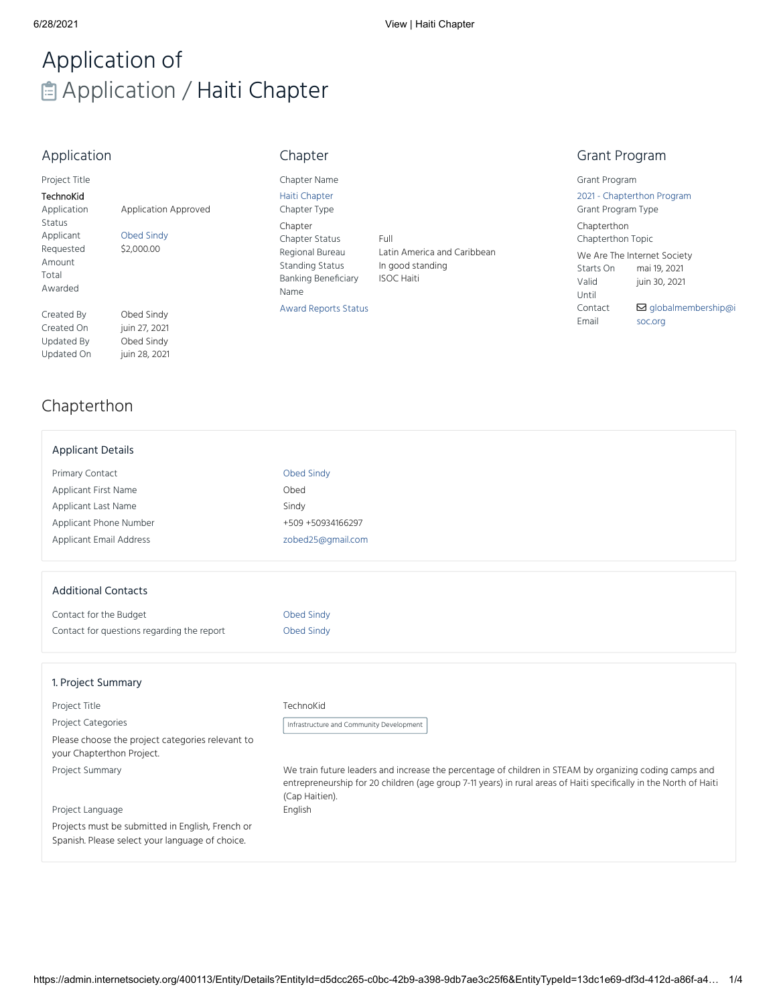# Application of **自 Application / Haiti Chapter**

## Application

| Project Title |  |
|---------------|--|
|               |  |

Awarded

| TechnoKid   |                             |
|-------------|-----------------------------|
| Application | <b>Application Approved</b> |
| Status      |                             |
| Applicant   | <b>Obed Sindv</b>           |
| Requested   | \$2,000.00                  |
| Amount      |                             |
| Total       |                             |

Created By Obed Sindy Created On juin 27, 2021 Updated By Obed Sindy Updated On juin 28, 2021

# Chapter

Chapter Name Haiti [Chapter](https://admin.internetsociety.org/400113/Entity/Details?EntityId=6aae85b7-377c-48f2-b0dd-98f15674dd5d) Chapter Type Chapter Chapter Status Full<br>Regional Bureau Lati Standing Status In good standing Banking Beneficiary Name

Latin America and Caribbean ISOC Haiti

Award [Reports](https://admin.internetsociety.org/400113/Entity/Listing?EntityTypeId=d0aeab34-5b1f-4713-be93-1c194a633a95&ListingId=c3e10300-03fb-4d86-93ed-23868973f36a&TabId=13de482c-c02b-4c07-a976-d3a79c96ef8b) Status

## Grant Program

Grant Program

2021 - [Chapterthon](https://admin.internetsociety.org/400113/Entity/Details?EntityId=3e0ad957-fd65-4454-83d9-e72e43ba489b&EntityTypeId=c607b896-b5aa-4d1e-99c7-bac574db435f&ViewId=47232c9a-2c56-479e-803d-d71c2b03ef9a) Program Grant Program Type

Chapterthon Chapterthon Topic

We Are The Internet Society Starts On mai 19, 2021 Valid

juin 30, 2021

Until Contact Email

**Ø** [globalmembership@i](mailto:globalmembership@isoc.org) soc.org

## [Chapterthon](https://admin.internetsociety.org/400113/Entity/Details?entityTypeId=13dc1e69-df3d-412d-a86f-a4ed8192b3c7&EntityId=d5dcc265-c0bc-42b9-a398-9db7ae3c25f6&ViewId=b228f026-ce14-4b07-83d2-8ec9ab90d5b0&TabId=0a60042f-833d-4076-9ce4-af6a0dcfdfaa)

| <b>Applicant Details</b> |  |
|--------------------------|--|
|--------------------------|--|

| <b>Primary Contact</b>         | Obed Sindy        |
|--------------------------------|-------------------|
| Applicant First Name           | Ohed              |
| Applicant Last Name            | Sindy             |
| Applicant Phone Number         | +509 +50934166297 |
| <b>Applicant Email Address</b> | zobed25@gmail.com |

#### Additional Contacts

| Contact for the Budget                     | Obed Sindy |
|--------------------------------------------|------------|
| Contact for questions regarding the report | Obed Sindy |

#### 1. Project Summary

Project Title TechnoKid

Project Categories

Please choose the project categories relevant to your Chapterthon Project.

Project Language

Projects must be submitted in English, French or Spanish. Please select your language of choice.

Infrastructure and Community Development

https://admin.internetsociety.org/400113/Entity/Details?EntityId=d5dcc265-c0bc-42b9-a398-9db7ae3c25f6&EntityTypeId=13dc1e69-df3d-412d-a86f-a4… 1/4

Project Summary We train future leaders and increase the percentage of children in STEAM by organizing coding camps and entrepreneurship for 20 children (age group 7-11 years) in rural areas of Haiti specifically in the North of Haiti (Cap Haitien). English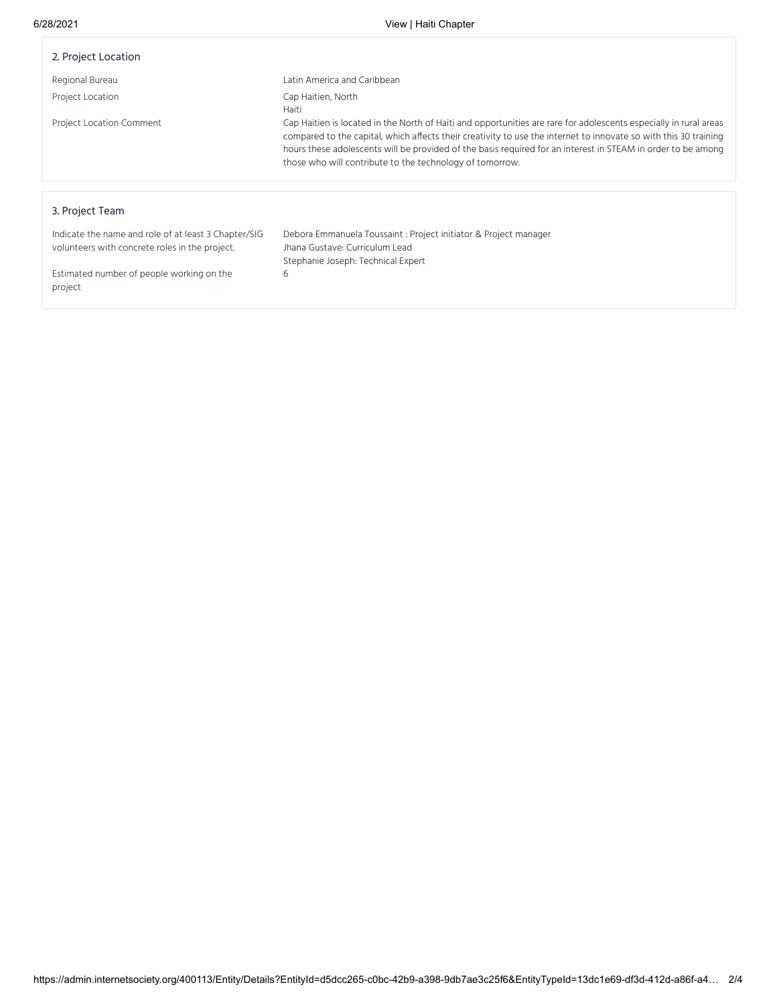| 2. Project Location                                                                                    |                                                                                                                                                                                                                                                                                                                                                                                                                   |
|--------------------------------------------------------------------------------------------------------|-------------------------------------------------------------------------------------------------------------------------------------------------------------------------------------------------------------------------------------------------------------------------------------------------------------------------------------------------------------------------------------------------------------------|
| Regional Bureau                                                                                        | Latin America and Caribbean                                                                                                                                                                                                                                                                                                                                                                                       |
| Project Location                                                                                       | Cap Haitien, North<br>Haiti                                                                                                                                                                                                                                                                                                                                                                                       |
| <b>Project Location Comment</b>                                                                        | Cap Haitien is located in the North of Haiti and opportunities are rare for adolescents especially in rural areas<br>compared to the capital, which affects their creativity to use the internet to innovate so with this 30 training<br>hours these adolescents will be provided of the basis required for an interest in STEAM in order to be among<br>those who will contribute to the technology of tomorrow. |
|                                                                                                        |                                                                                                                                                                                                                                                                                                                                                                                                                   |
| 3. Project Team                                                                                        |                                                                                                                                                                                                                                                                                                                                                                                                                   |
| Indicate the name and role of at least 3 Chapter/SIG<br>volunteers with concrete roles in the project. | Debora Emmanuela Toussaint : Project initiator & Project manager<br>Jhana Gustave: Curriculum Lead                                                                                                                                                                                                                                                                                                                |

Stephanie Joseph: Technical Expert

6

Estimated number of people working on the project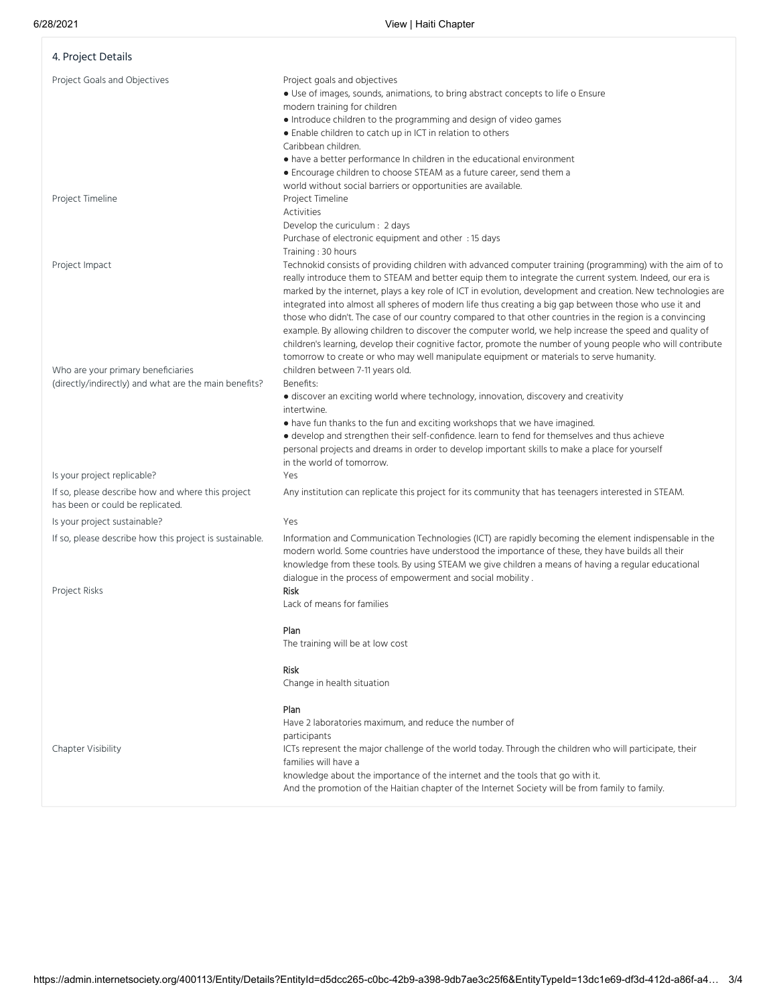| 4. Project Details                                                                          |                                                                                                                                                                                                                                                                                                                                                                                                                                                                                                                                                                                                                                                                                                                                                                                                                                                                                                        |
|---------------------------------------------------------------------------------------------|--------------------------------------------------------------------------------------------------------------------------------------------------------------------------------------------------------------------------------------------------------------------------------------------------------------------------------------------------------------------------------------------------------------------------------------------------------------------------------------------------------------------------------------------------------------------------------------------------------------------------------------------------------------------------------------------------------------------------------------------------------------------------------------------------------------------------------------------------------------------------------------------------------|
| Project Goals and Objectives                                                                | Project goals and objectives<br>• Use of images, sounds, animations, to bring abstract concepts to life o Ensure<br>modern training for children<br>• Introduce children to the programming and design of video games<br>• Enable children to catch up in ICT in relation to others<br>Caribbean children.<br>• have a better performance In children in the educational environment<br>• Encourage children to choose STEAM as a future career, send them a                                                                                                                                                                                                                                                                                                                                                                                                                                           |
| Project Timeline                                                                            | world without social barriers or opportunities are available.<br>Project Timeline<br>Activities<br>Develop the curiculum : 2 days<br>Purchase of electronic equipment and other : 15 days                                                                                                                                                                                                                                                                                                                                                                                                                                                                                                                                                                                                                                                                                                              |
| Project Impact                                                                              | Training: 30 hours<br>Technokid consists of providing children with advanced computer training (programming) with the aim of to<br>really introduce them to STEAM and better equip them to integrate the current system. Indeed, our era is<br>marked by the internet, plays a key role of ICT in evolution, development and creation. New technologies are<br>integrated into almost all spheres of modern life thus creating a big gap between those who use it and<br>those who didn't. The case of our country compared to that other countries in the region is a convincing<br>example. By allowing children to discover the computer world, we help increase the speed and quality of<br>children's learning, develop their cognitive factor, promote the number of young people who will contribute<br>tomorrow to create or who may well manipulate equipment or materials to serve humanity. |
| Who are your primary beneficiaries<br>(directly/indirectly) and what are the main benefits? | children between 7-11 years old.<br>Benefits:<br>· discover an exciting world where technology, innovation, discovery and creativity<br>intertwine.<br>• have fun thanks to the fun and exciting workshops that we have imagined.<br>• develop and strengthen their self-confidence. learn to fend for themselves and thus achieve<br>personal projects and dreams in order to develop important skills to make a place for yourself<br>in the world of tomorrow.                                                                                                                                                                                                                                                                                                                                                                                                                                      |
| Is your project replicable?                                                                 | Yes                                                                                                                                                                                                                                                                                                                                                                                                                                                                                                                                                                                                                                                                                                                                                                                                                                                                                                    |
| If so, please describe how and where this project<br>has been or could be replicated.       | Any institution can replicate this project for its community that has teenagers interested in STEAM.                                                                                                                                                                                                                                                                                                                                                                                                                                                                                                                                                                                                                                                                                                                                                                                                   |
| Is your project sustainable?                                                                | Yes                                                                                                                                                                                                                                                                                                                                                                                                                                                                                                                                                                                                                                                                                                                                                                                                                                                                                                    |
| If so, please describe how this project is sustainable.<br>Project Risks                    | Information and Communication Technologies (ICT) are rapidly becoming the element indispensable in the<br>modern world. Some countries have understood the importance of these, they have builds all their<br>knowledge from these tools. By using STEAM we give children a means of having a regular educational<br>dialogue in the process of empowerment and social mobility.<br><b>Risk</b>                                                                                                                                                                                                                                                                                                                                                                                                                                                                                                        |
|                                                                                             | Lack of means for families<br>Plan<br>The training will be at low cost                                                                                                                                                                                                                                                                                                                                                                                                                                                                                                                                                                                                                                                                                                                                                                                                                                 |
|                                                                                             | <b>Risk</b><br>Change in health situation                                                                                                                                                                                                                                                                                                                                                                                                                                                                                                                                                                                                                                                                                                                                                                                                                                                              |
| Chapter Visibility                                                                          | Plan<br>Have 2 laboratories maximum, and reduce the number of<br>participants<br>ICTs represent the major challenge of the world today. Through the children who will participate, their<br>families will have a<br>knowledge about the importance of the internet and the tools that go with it.<br>And the promotion of the Haitian chapter of the Internet Society will be from family to family.                                                                                                                                                                                                                                                                                                                                                                                                                                                                                                   |